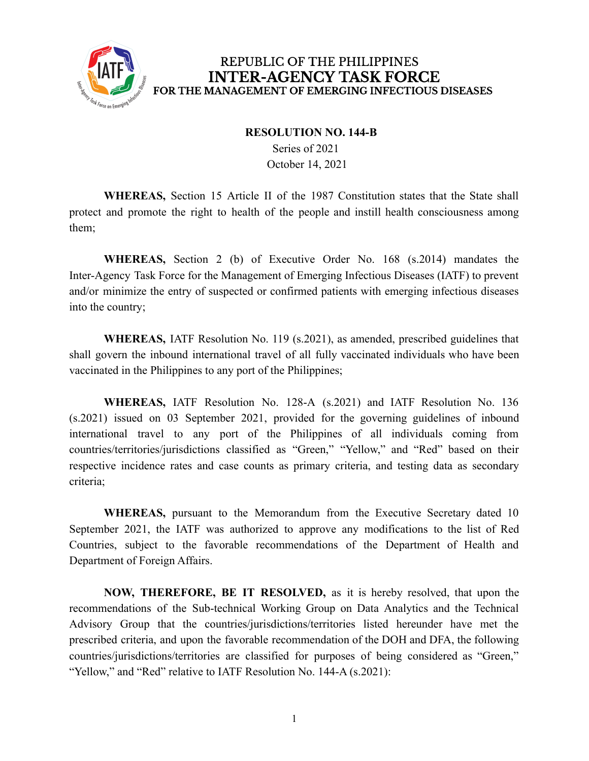

### REPUBLIC OF THE PHILIPPINES **INTER-AGENCY TASK FORCE** FOR THE MANAGEMENT OF EMERGING INFECTIOUS DISEASES

#### **RESOLUTION NO. 144-B**

Series of 2021 October 14, 2021

**WHEREAS,** Section 15 Article II of the 1987 Constitution states that the State shall protect and promote the right to health of the people and instill health consciousness among them;

**WHEREAS,** Section 2 (b) of Executive Order No. 168 (s.2014) mandates the Inter-Agency Task Force for the Management of Emerging Infectious Diseases (IATF) to prevent and/or minimize the entry of suspected or confirmed patients with emerging infectious diseases into the country;

**WHEREAS,** IATF Resolution No. 119 (s.2021), as amended, prescribed guidelines that shall govern the inbound international travel of all fully vaccinated individuals who have been vaccinated in the Philippines to any port of the Philippines;

**WHEREAS,** IATF Resolution No. 128-A (s.2021) and IATF Resolution No. 136 (s.2021) issued on 03 September 2021, provided for the governing guidelines of inbound international travel to any port of the Philippines of all individuals coming from countries/territories/jurisdictions classified as "Green," "Yellow," and "Red" based on their respective incidence rates and case counts as primary criteria, and testing data as secondary criteria;

**WHEREAS,** pursuant to the Memorandum from the Executive Secretary dated 10 September 2021, the IATF was authorized to approve any modifications to the list of Red Countries, subject to the favorable recommendations of the Department of Health and Department of Foreign Affairs.

**NOW, THEREFORE, BE IT RESOLVED,** as it is hereby resolved, that upon the recommendations of the Sub-technical Working Group on Data Analytics and the Technical Advisory Group that the countries/jurisdictions/territories listed hereunder have met the prescribed criteria, and upon the favorable recommendation of the DOH and DFA, the following countries/jurisdictions/territories are classified for purposes of being considered as "Green," "Yellow," and "Red" relative to IATF Resolution No. 144-A (s.2021):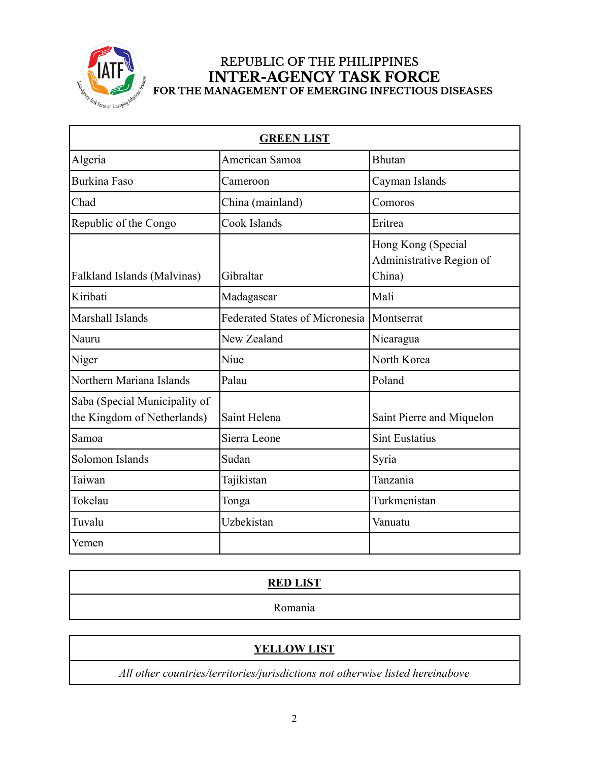

# REPUBLIC OF THE PHILIPPINES INTER-AGENCY TASK FORCE<br>FOR THE MANAGEMENT OF EMERGING INFECTIOUS DISEASES

| <b>GREEN LIST</b>                                            |                                       |                                                          |
|--------------------------------------------------------------|---------------------------------------|----------------------------------------------------------|
| Algeria                                                      | American Samoa                        | <b>Bhutan</b>                                            |
| <b>Burkina Faso</b>                                          | Cameroon                              | Cayman Islands                                           |
| Chad                                                         | China (mainland)                      | Comoros                                                  |
| Republic of the Congo                                        | Cook Islands                          | Eritrea                                                  |
| <b>Falkland Islands (Malvinas)</b>                           | Gibraltar                             | Hong Kong (Special<br>Administrative Region of<br>China) |
| Kiribati                                                     | Madagascar                            | Mali                                                     |
| Marshall Islands                                             | <b>Federated States of Micronesia</b> | Montserrat                                               |
| Nauru                                                        | New Zealand                           | Nicaragua                                                |
| Niger                                                        | Niue                                  | North Korea                                              |
| Northern Mariana Islands                                     | Palau                                 | Poland                                                   |
| Saba (Special Municipality of<br>the Kingdom of Netherlands) | Saint Helena                          | Saint Pierre and Miquelon                                |
| Samoa                                                        | Sierra Leone                          | <b>Sint Eustatius</b>                                    |
| Solomon Islands                                              | Sudan                                 | Syria                                                    |
| Taiwan                                                       | Tajikistan                            | Tanzania                                                 |
| Tokelau                                                      | Tonga                                 | Turkmenistan                                             |
| Tuvalu                                                       | Uzbekistan                            | Vanuatu                                                  |
| Yemen                                                        |                                       |                                                          |

# **RED LIST** Romania

## **YELLOW LIST**

*All other countries/territories/jurisdictions not otherwise listed hereinabove*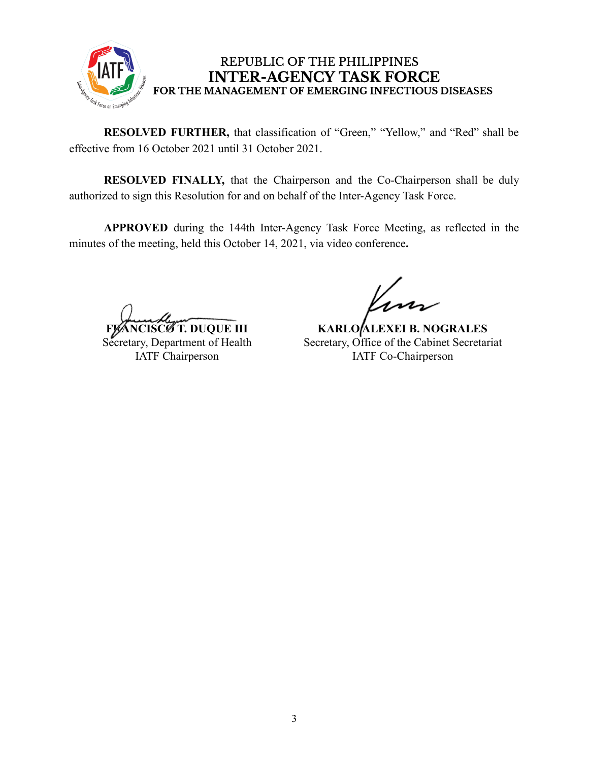

### REPUBLIC OF THE PHILIPPINES **INTER-AGENCY TASK FORCE** FOR THE MANAGEMENT OF EMERGING INFECTIOUS DISEASES

**RESOLVED FURTHER,** that classification of "Green," "Yellow," and "Red" shall be effective from 16 October 2021 until 31 October 2021.

**RESOLVED FINALLY,** that the Chairperson and the Co-Chairperson shall be duly authorized to sign this Resolution for and on behalf of the Inter-Agency Task Force.

**APPROVED** during the 144th Inter-Agency Task Force Meeting, as reflected in the minutes of the meeting, held this October 14, 2021, via video conference**.**

**T. DUQUE III** Secretary, Department of Health IATF Chairperson

**KARLO ALEXEI B. NOGRALES** Secretary, Office of the Cabinet Secretariat IATF Co-Chairperson